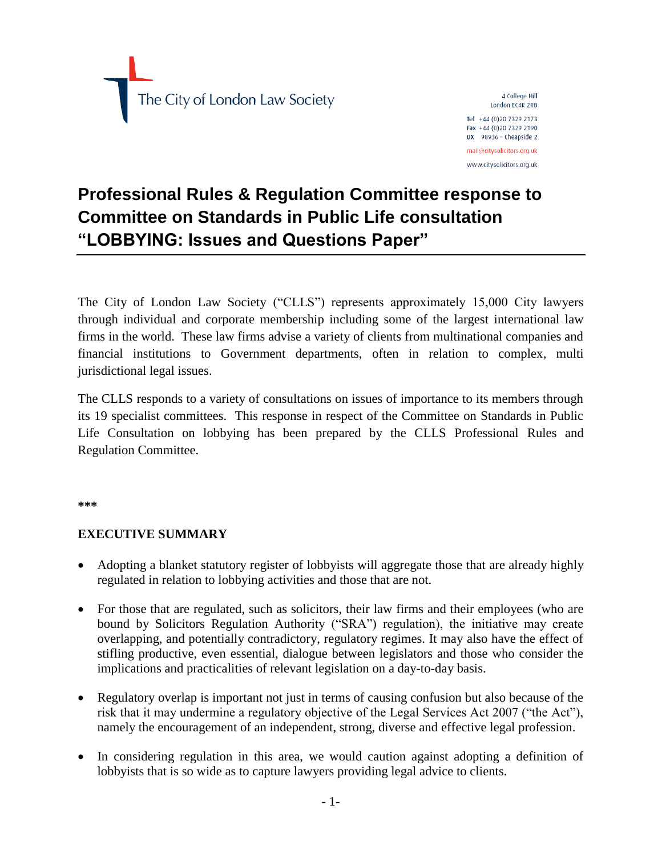

4 College Hill London FC4R 2RB Tel +44 (0) 20 7329 2173 Fax +44 (0)20 7329 2190 DX 98936 - Cheapside 2 mail@citysolicitors.org.uk www.citysolicitors.org.uk

# **Professional Rules & Regulation Committee response to Committee on Standards in Public Life consultation "LOBBYING: Issues and Questions Paper"**

The City of London Law Society ("CLLS") represents approximately 15,000 City lawyers through individual and corporate membership including some of the largest international law firms in the world. These law firms advise a variety of clients from multinational companies and financial institutions to Government departments, often in relation to complex, multi jurisdictional legal issues.

The CLLS responds to a variety of consultations on issues of importance to its members through its 19 specialist committees. This response in respect of the Committee on Standards in Public Life Consultation on lobbying has been prepared by the CLLS Professional Rules and Regulation Committee.

**\*\*\***

#### **EXECUTIVE SUMMARY**

- Adopting a blanket statutory register of lobbyists will aggregate those that are already highly regulated in relation to lobbying activities and those that are not.
- For those that are regulated, such as solicitors, their law firms and their employees (who are bound by Solicitors Regulation Authority ("SRA") regulation), the initiative may create overlapping, and potentially contradictory, regulatory regimes. It may also have the effect of stifling productive, even essential, dialogue between legislators and those who consider the implications and practicalities of relevant legislation on a day-to-day basis.
- Regulatory overlap is important not just in terms of causing confusion but also because of the risk that it may undermine a regulatory objective of the Legal Services Act 2007 ("the Act"), namely the encouragement of an independent, strong, diverse and effective legal profession.
- In considering regulation in this area, we would caution against adopting a definition of lobbyists that is so wide as to capture lawyers providing legal advice to clients.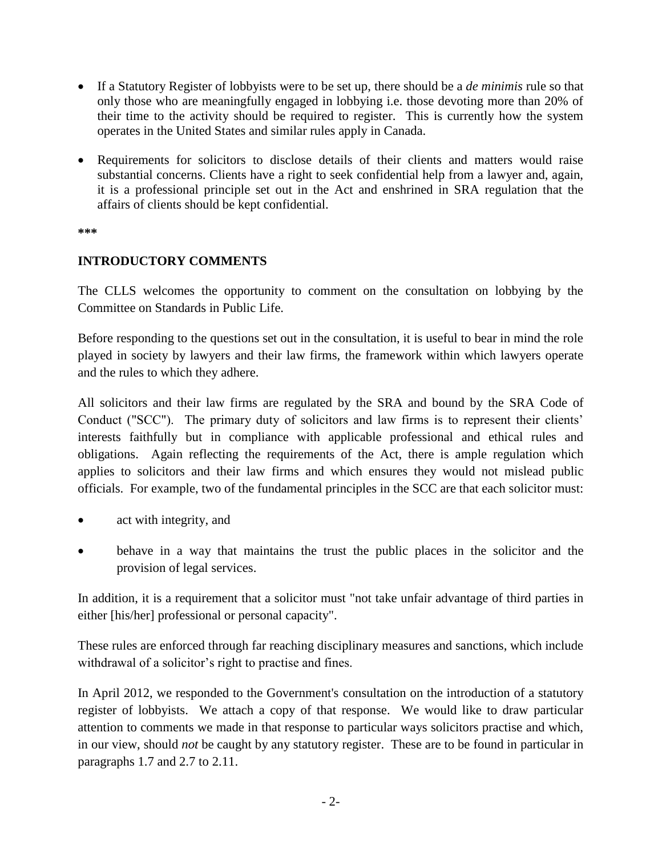- If a Statutory Register of lobbyists were to be set up, there should be a *de minimis* rule so that only those who are meaningfully engaged in lobbying i.e. those devoting more than 20% of their time to the activity should be required to register. This is currently how the system operates in the United States and similar rules apply in Canada.
- Requirements for solicitors to disclose details of their clients and matters would raise substantial concerns. Clients have a right to seek confidential help from a lawyer and, again, it is a professional principle set out in the Act and enshrined in SRA regulation that the affairs of clients should be kept confidential.

**\*\*\***

## **INTRODUCTORY COMMENTS**

The CLLS welcomes the opportunity to comment on the consultation on lobbying by the Committee on Standards in Public Life.

Before responding to the questions set out in the consultation, it is useful to bear in mind the role played in society by lawyers and their law firms, the framework within which lawyers operate and the rules to which they adhere.

All solicitors and their law firms are regulated by the SRA and bound by the SRA Code of Conduct ("SCC"). The primary duty of solicitors and law firms is to represent their clients' interests faithfully but in compliance with applicable professional and ethical rules and obligations. Again reflecting the requirements of the Act, there is ample regulation which applies to solicitors and their law firms and which ensures they would not mislead public officials. For example, two of the fundamental principles in the SCC are that each solicitor must:

- act with integrity, and
- behave in a way that maintains the trust the public places in the solicitor and the provision of legal services.

In addition, it is a requirement that a solicitor must "not take unfair advantage of third parties in either [his/her] professional or personal capacity".

These rules are enforced through far reaching disciplinary measures and sanctions, which include withdrawal of a solicitor's right to practise and fines.

In April 2012, we responded to the Government's consultation on the introduction of a statutory register of lobbyists. We attach a copy of that response. We would like to draw particular attention to comments we made in that response to particular ways solicitors practise and which, in our view, should *not* be caught by any statutory register. These are to be found in particular in paragraphs 1.7 and 2.7 to 2.11.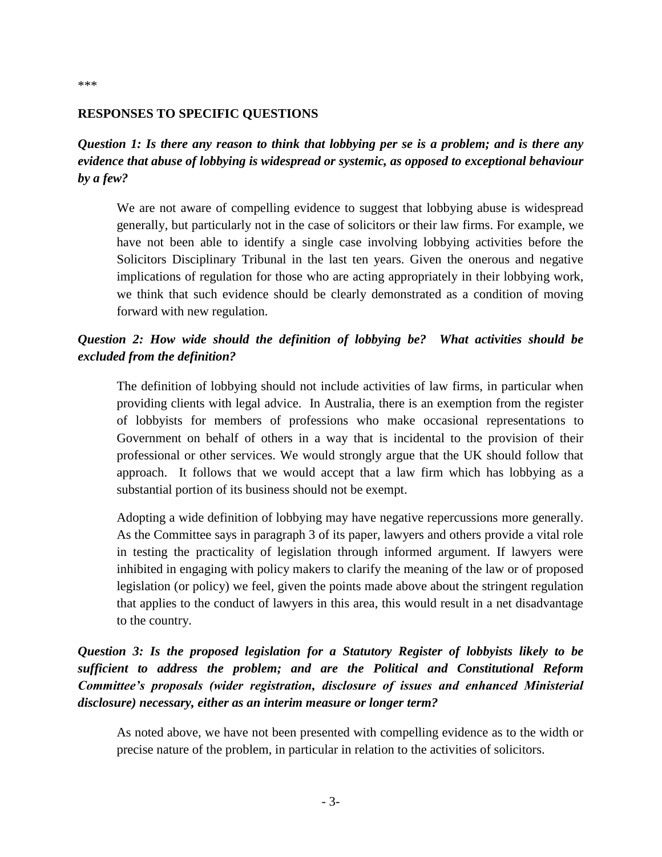#### **RESPONSES TO SPECIFIC QUESTIONS**

*Question 1: Is there any reason to think that lobbying per se is a problem; and is there any evidence that abuse of lobbying is widespread or systemic, as opposed to exceptional behaviour by a few?*

We are not aware of compelling evidence to suggest that lobbying abuse is widespread generally, but particularly not in the case of solicitors or their law firms. For example, we have not been able to identify a single case involving lobbying activities before the Solicitors Disciplinary Tribunal in the last ten years. Given the onerous and negative implications of regulation for those who are acting appropriately in their lobbying work, we think that such evidence should be clearly demonstrated as a condition of moving forward with new regulation.

#### *Question 2: How wide should the definition of lobbying be? What activities should be excluded from the definition?*

The definition of lobbying should not include activities of law firms, in particular when providing clients with legal advice. In Australia, there is an exemption from the register of lobbyists for members of professions who make occasional representations to Government on behalf of others in a way that is incidental to the provision of their professional or other services. We would strongly argue that the UK should follow that approach. It follows that we would accept that a law firm which has lobbying as a substantial portion of its business should not be exempt.

Adopting a wide definition of lobbying may have negative repercussions more generally. As the Committee says in paragraph 3 of its paper, lawyers and others provide a vital role in testing the practicality of legislation through informed argument. If lawyers were inhibited in engaging with policy makers to clarify the meaning of the law or of proposed legislation (or policy) we feel, given the points made above about the stringent regulation that applies to the conduct of lawyers in this area, this would result in a net disadvantage to the country.

*Question 3: Is the proposed legislation for a Statutory Register of lobbyists likely to be sufficient to address the problem; and are the Political and Constitutional Reform Committee's proposals (wider registration, disclosure of issues and enhanced Ministerial disclosure) necessary, either as an interim measure or longer term?*

As noted above, we have not been presented with compelling evidence as to the width or precise nature of the problem, in particular in relation to the activities of solicitors.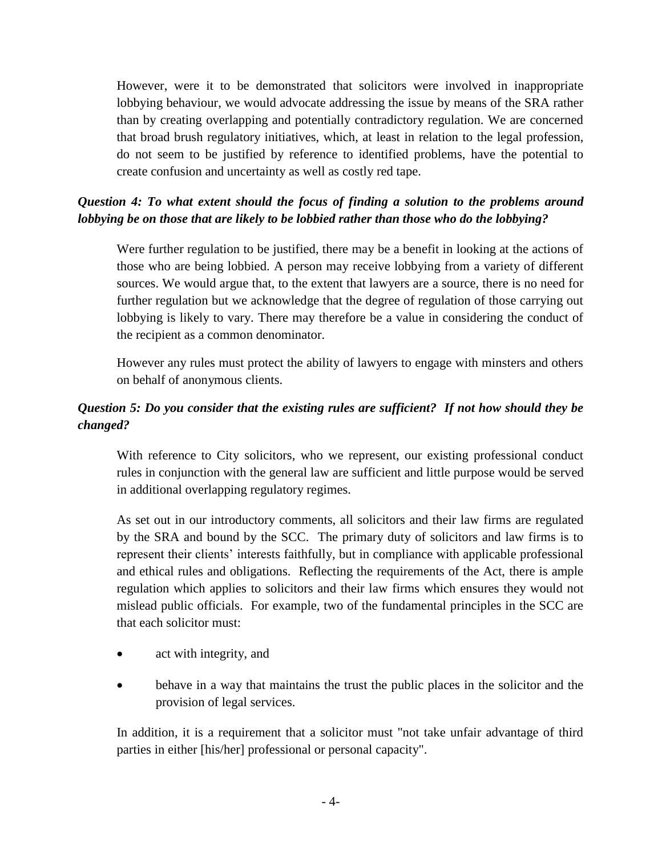However, were it to be demonstrated that solicitors were involved in inappropriate lobbying behaviour, we would advocate addressing the issue by means of the SRA rather than by creating overlapping and potentially contradictory regulation. We are concerned that broad brush regulatory initiatives, which, at least in relation to the legal profession, do not seem to be justified by reference to identified problems, have the potential to create confusion and uncertainty as well as costly red tape.

# *Question 4: To what extent should the focus of finding a solution to the problems around lobbying be on those that are likely to be lobbied rather than those who do the lobbying?*

Were further regulation to be justified, there may be a benefit in looking at the actions of those who are being lobbied. A person may receive lobbying from a variety of different sources. We would argue that, to the extent that lawyers are a source, there is no need for further regulation but we acknowledge that the degree of regulation of those carrying out lobbying is likely to vary. There may therefore be a value in considering the conduct of the recipient as a common denominator.

However any rules must protect the ability of lawyers to engage with minsters and others on behalf of anonymous clients.

# *Question 5: Do you consider that the existing rules are sufficient? If not how should they be changed?*

With reference to City solicitors, who we represent, our existing professional conduct rules in conjunction with the general law are sufficient and little purpose would be served in additional overlapping regulatory regimes.

As set out in our introductory comments, all solicitors and their law firms are regulated by the SRA and bound by the SCC. The primary duty of solicitors and law firms is to represent their clients' interests faithfully, but in compliance with applicable professional and ethical rules and obligations. Reflecting the requirements of the Act, there is ample regulation which applies to solicitors and their law firms which ensures they would not mislead public officials. For example, two of the fundamental principles in the SCC are that each solicitor must:

- act with integrity, and
- behave in a way that maintains the trust the public places in the solicitor and the provision of legal services.

In addition, it is a requirement that a solicitor must "not take unfair advantage of third parties in either [his/her] professional or personal capacity".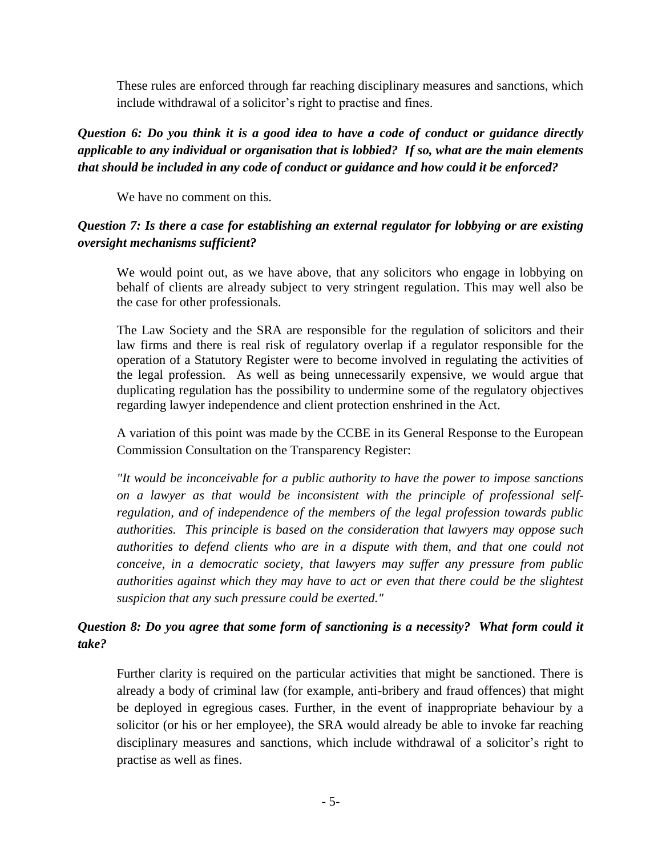These rules are enforced through far reaching disciplinary measures and sanctions, which include withdrawal of a solicitor's right to practise and fines.

# *Question 6: Do you think it is a good idea to have a code of conduct or guidance directly applicable to any individual or organisation that is lobbied? If so, what are the main elements that should be included in any code of conduct or guidance and how could it be enforced?*

We have no comment on this.

## *Question 7: Is there a case for establishing an external regulator for lobbying or are existing oversight mechanisms sufficient?*

We would point out, as we have above, that any solicitors who engage in lobbying on behalf of clients are already subject to very stringent regulation. This may well also be the case for other professionals.

The Law Society and the SRA are responsible for the regulation of solicitors and their law firms and there is real risk of regulatory overlap if a regulator responsible for the operation of a Statutory Register were to become involved in regulating the activities of the legal profession. As well as being unnecessarily expensive, we would argue that duplicating regulation has the possibility to undermine some of the regulatory objectives regarding lawyer independence and client protection enshrined in the Act.

A variation of this point was made by the CCBE in its General Response to the European Commission Consultation on the Transparency Register:

*"It would be inconceivable for a public authority to have the power to impose sanctions on a lawyer as that would be inconsistent with the principle of professional selfregulation, and of independence of the members of the legal profession towards public authorities. This principle is based on the consideration that lawyers may oppose such authorities to defend clients who are in a dispute with them, and that one could not conceive, in a democratic society, that lawyers may suffer any pressure from public authorities against which they may have to act or even that there could be the slightest suspicion that any such pressure could be exerted."*

# *Question 8: Do you agree that some form of sanctioning is a necessity? What form could it take?*

Further clarity is required on the particular activities that might be sanctioned. There is already a body of criminal law (for example, anti-bribery and fraud offences) that might be deployed in egregious cases. Further, in the event of inappropriate behaviour by a solicitor (or his or her employee), the SRA would already be able to invoke far reaching disciplinary measures and sanctions, which include withdrawal of a solicitor's right to practise as well as fines.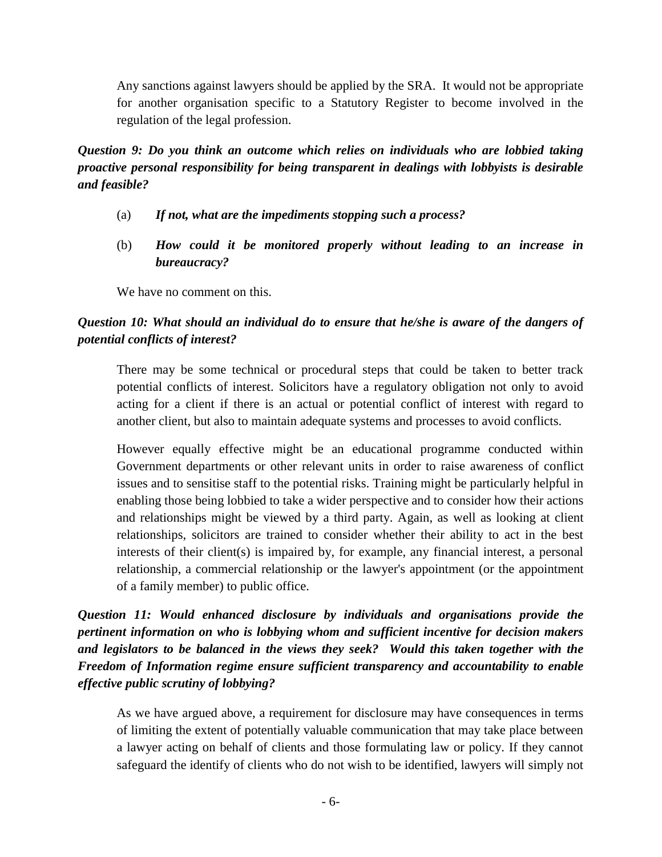Any sanctions against lawyers should be applied by the SRA. It would not be appropriate for another organisation specific to a Statutory Register to become involved in the regulation of the legal profession.

*Question 9: Do you think an outcome which relies on individuals who are lobbied taking proactive personal responsibility for being transparent in dealings with lobbyists is desirable and feasible?*

- (a) *If not, what are the impediments stopping such a process?*
- (b) *How could it be monitored properly without leading to an increase in bureaucracy?*

We have no comment on this.

# *Question 10: What should an individual do to ensure that he/she is aware of the dangers of potential conflicts of interest?*

There may be some technical or procedural steps that could be taken to better track potential conflicts of interest. Solicitors have a regulatory obligation not only to avoid acting for a client if there is an actual or potential conflict of interest with regard to another client, but also to maintain adequate systems and processes to avoid conflicts.

However equally effective might be an educational programme conducted within Government departments or other relevant units in order to raise awareness of conflict issues and to sensitise staff to the potential risks. Training might be particularly helpful in enabling those being lobbied to take a wider perspective and to consider how their actions and relationships might be viewed by a third party. Again, as well as looking at client relationships, solicitors are trained to consider whether their ability to act in the best interests of their client(s) is impaired by, for example, any financial interest, a personal relationship, a commercial relationship or the lawyer's appointment (or the appointment of a family member) to public office.

*Question 11: Would enhanced disclosure by individuals and organisations provide the pertinent information on who is lobbying whom and sufficient incentive for decision makers and legislators to be balanced in the views they seek? Would this taken together with the Freedom of Information regime ensure sufficient transparency and accountability to enable effective public scrutiny of lobbying?*

As we have argued above, a requirement for disclosure may have consequences in terms of limiting the extent of potentially valuable communication that may take place between a lawyer acting on behalf of clients and those formulating law or policy. If they cannot safeguard the identify of clients who do not wish to be identified, lawyers will simply not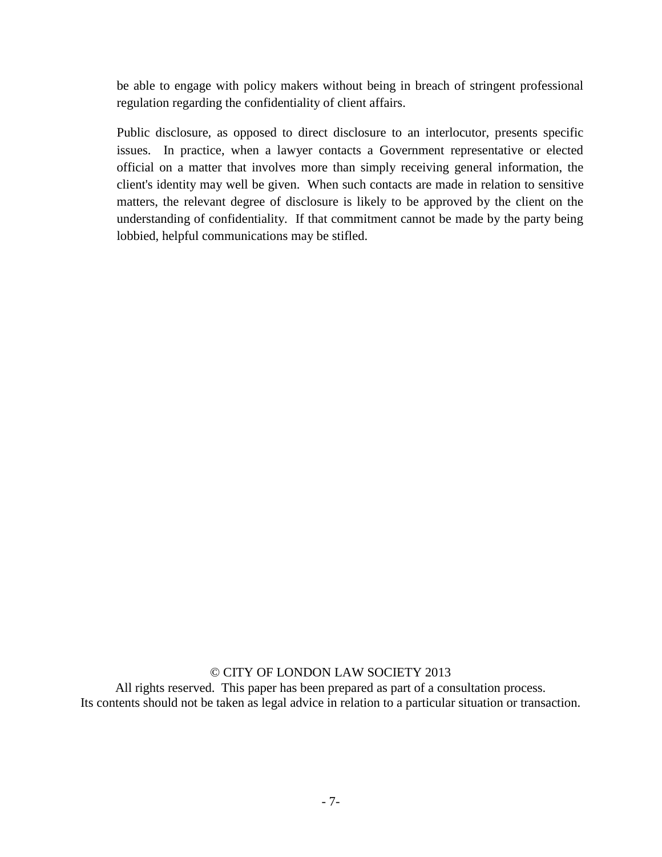be able to engage with policy makers without being in breach of stringent professional regulation regarding the confidentiality of client affairs.

Public disclosure, as opposed to direct disclosure to an interlocutor, presents specific issues. In practice, when a lawyer contacts a Government representative or elected official on a matter that involves more than simply receiving general information, the client's identity may well be given. When such contacts are made in relation to sensitive matters, the relevant degree of disclosure is likely to be approved by the client on the understanding of confidentiality. If that commitment cannot be made by the party being lobbied, helpful communications may be stifled.

#### © CITY OF LONDON LAW SOCIETY 2013

All rights reserved. This paper has been prepared as part of a consultation process. Its contents should not be taken as legal advice in relation to a particular situation or transaction.